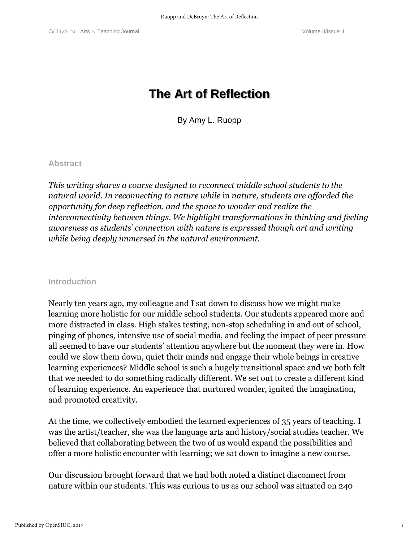# **The Art of Reflection**

By Amy L. Ruopp

# **Abstract**

*This writing shares a course designed to reconnect middle school students to the natural world. In reconnecting to nature while* in *nature, students are afforded the opportunity for deep reflection, and the space to wonder and realize the interconnectivity between things. We highlight transformations in thinking and feeling awareness as students' connection with nature is expressed though art and writing while being deeply immersed in the natural environment.*

# **Introduction**

Nearly ten years ago, my colleague and I sat down to discuss how we might make learning more holistic for our middle school students. Our students appeared more and more distracted in class. High stakes testing, non-stop scheduling in and out of school, pinging of phones, intensive use of social media, and feeling the impact of peer pressure all seemed to have our students' attention anywhere but the moment they were in. How could we slow them down, quiet their minds and engage their whole beings in creative learning experiences? Middle school is such a hugely transitional space and we both felt that we needed to do something radically different. We set out to create a different kind of learning experience. An experience that nurtured wonder, ignited the imagination, and promoted creativity.

At the time, we collectively embodied the learned experiences of 35 years of teaching. I was the artist/teacher, she was the language arts and history/social studies teacher. We believed that collaborating between the two of us would expand the possibilities and offer a more holistic encounter with learning; we sat down to imagine a new course.

Our discussion brought forward that we had both noted a distinct disconnect from nature within our students. This was curious to us as our school was situated on 240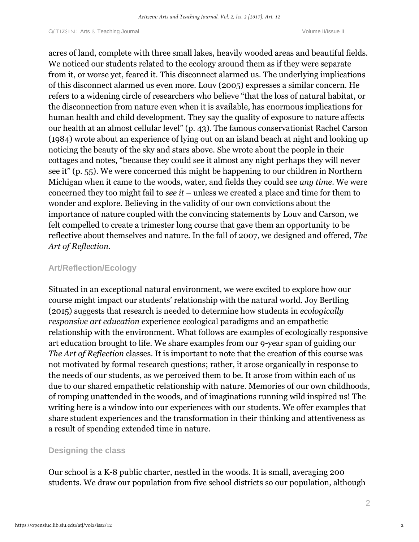acres of land, complete with three small lakes, heavily wooded areas and beautiful fields. We noticed our students related to the ecology around them as if they were separate from it, or worse yet, feared it. This disconnect alarmed us. The underlying implications of this disconnect alarmed us even more. Louv (2005) expresses a similar concern. He refers to a widening circle of researchers who believe "that the loss of natural habitat, or the disconnection from nature even when it is available, has enormous implications for human health and child development. They say the quality of exposure to nature affects our health at an almost cellular level" (p. 43). The famous conservationist Rachel Carson (1984) wrote about an experience of lying out on an island beach at night and looking up noticing the beauty of the sky and stars above. She wrote about the people in their cottages and notes, "because they could see it almost any night perhaps they will never see it" (p. 55). We were concerned this might be happening to our children in Northern Michigan when it came to the woods, water, and fields they could see *any time*. We were concerned they too might fail to *see it* – unless we created a place and time for them to wonder and explore. Believing in the validity of our own convictions about the importance of nature coupled with the convincing statements by Louv and Carson, we felt compelled to create a trimester long course that gave them an opportunity to be reflective about themselves and nature. In the fall of 2007, we designed and offered, *The Art of Reflection*.

# **Art/Reflection/Ecology**

Situated in an exceptional natural environment, we were excited to explore how our course might impact our students' relationship with the natural world. Joy Bertling (2015) suggests that research is needed to determine how students in *ecologically responsive art education* experience ecological paradigms and an empathetic relationship with the environment. What follows are examples of ecologically responsive art education brought to life. We share examples from our 9-year span of guiding our *The Art of Reflection* classes. It is important to note that the creation of this course was not motivated by formal research questions; rather, it arose organically in response to the needs of our students, as we perceived them to be. It arose from within each of us due to our shared empathetic relationship with nature. Memories of our own childhoods, of romping unattended in the woods, and of imaginations running wild inspired us! The writing here is a window into our experiences with our students. We offer examples that share student experiences and the transformation in their thinking and attentiveness as a result of spending extended time in nature.

# **Designing the class**

Our school is a K-8 public charter, nestled in the woods. It is small, averaging 200 students. We draw our population from five school districts so our population, although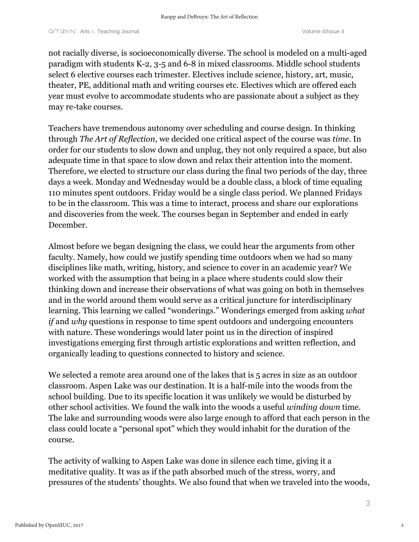not racially diverse, is socioeconomically diverse. The school is modeled on a multi-aged paradigm with students K-2, 3-5 and 6-8 in mixed classrooms. Middle school students select 6 elective courses each trimester. Electives include science, history, art, music, theater, PE, additional math and writing courses etc. Electives which are offered each year must evolve to accommodate students who are passionate about a subject as they may re-take courses.

Teachers have tremendous autonomy over scheduling and course design. In thinking through *The Art of Reflection*, we decided one critical aspect of the course was *time.* In order for our students to slow down and unplug, they not only required a space, but also adequate time in that space to slow down and relax their attention into the moment. Therefore, we elected to structure our class during the final two periods of the day, three days a week. Monday and Wednesday would be a double class, a block of time equaling 110 minutes spent outdoors. Friday would be a single class period. We planned Fridays to be in the classroom. This was a time to interact, process and share our explorations and discoveries from the week. The courses began in September and ended in early December.

Almost before we began designing the class, we could hear the arguments from other faculty. Namely, how could we justify spending time outdoors when we had so many disciplines like math, writing, history, and science to cover in an academic year? We worked with the assumption that being in a place where students could slow their thinking down and increase their observations of what was going on both in themselves and in the world around them would serve as a critical juncture for interdisciplinary learning. This learning we called "wonderings." Wonderings emerged from asking *what if* and *why* questions in response to time spent outdoors and undergoing encounters with nature. These wonderings would later point us in the direction of inspired investigations emerging first through artistic explorations and written reflection, and organically leading to questions connected to history and science.

We selected a remote area around one of the lakes that is 5 acres in size as an outdoor classroom. Aspen Lake was our destination. It is a half-mile into the woods from the school building. Due to its specific location it was unlikely we would be disturbed by other school activities. We found the walk into the woods a useful *winding down* time. The lake and surrounding woods were also large enough to afford that each person in the class could locate a "personal spot" which they would inhabit for the duration of the course.

The activity of walking to Aspen Lake was done in silence each time, giving it a meditative quality. It was as if the path absorbed much of the stress, worry, and pressures of the students' thoughts. We also found that when we traveled into the woods,

3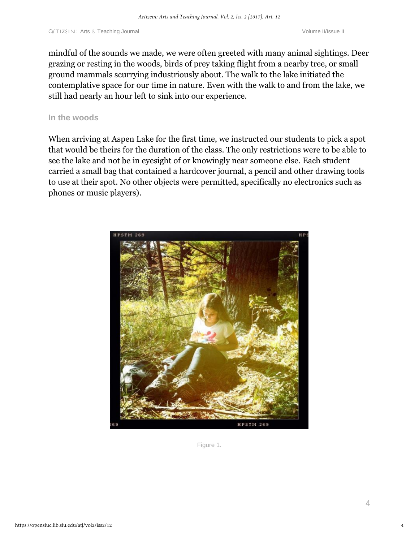mindful of the sounds we made, we were often greeted with many animal sightings. Deer grazing or resting in the woods, birds of prey taking flight from a nearby tree, or small ground mammals scurrying industriously about. The walk to the lake initiated the contemplative space for our time in nature. Even with the walk to and from the lake, we still had nearly an hour left to sink into our experience.

#### **In the woods**

When arriving at Aspen Lake for the first time, we instructed our students to pick a spot that would be theirs for the duration of the class. The only restrictions were to be able to see the lake and not be in eyesight of or knowingly near someone else. Each student carried a small bag that contained a hardcover journal, a pencil and other drawing tools to use at their spot. No other objects were permitted, specifically no electronics such as phones or music players).



Figure 1.

4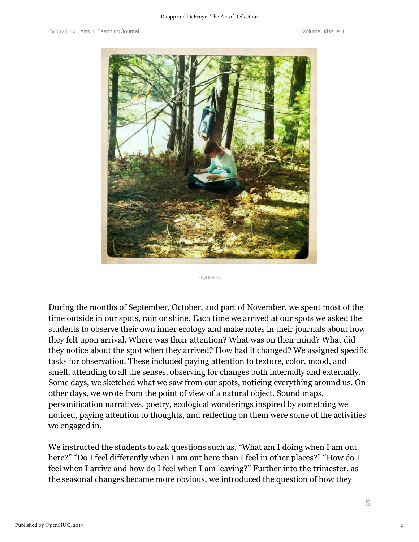

Figure 2.

During the months of September, October, and part of November, we spent most of the time outside in our spots, rain or shine. Each time we arrived at our spots we asked the students to observe their own inner ecology and make notes in their journals about how they felt upon arrival. Where was their attention? What was on their mind? What did they notice about the spot when they arrived? How had it changed? We assigned specific tasks for observation. These included paying attention to texture, color, mood, and smell, attending to all the senses, observing for changes both internally and externally. Some days, we sketched what we saw from our spots, noticing everything around us. On other days, we wrote from the point of view of a natural object. Sound maps, personification narratives, poetry, ecological wonderings inspired by something we noticed, paying attention to thoughts, and reflecting on them were some of the activities we engaged in.

We instructed the students to ask questions such as, "What am I doing when I am out here?" "Do I feel differently when I am out here than I feel in other places?" "How do I feel when I arrive and how do I feel when I am leaving?" Further into the trimester, as the seasonal changes became more obvious, we introduced the question of how they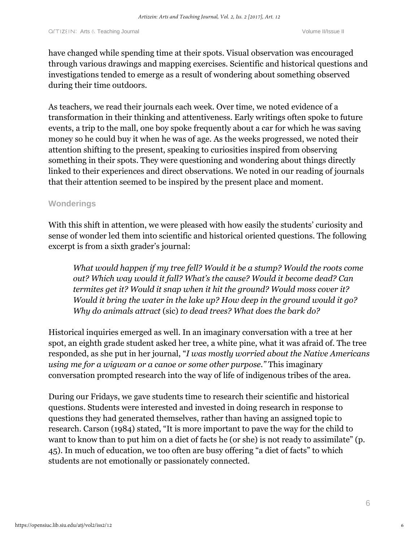have changed while spending time at their spots. Visual observation was encouraged through various drawings and mapping exercises. Scientific and historical questions and investigations tended to emerge as a result of wondering about something observed during their time outdoors.

As teachers, we read their journals each week. Over time, we noted evidence of a transformation in their thinking and attentiveness. Early writings often spoke to future events, a trip to the mall, one boy spoke frequently about a car for which he was saving money so he could buy it when he was of age. As the weeks progressed, we noted their attention shifting to the present, speaking to curiosities inspired from observing something in their spots. They were questioning and wondering about things directly linked to their experiences and direct observations. We noted in our reading of journals that their attention seemed to be inspired by the present place and moment.

#### **Wonderings**

With this shift in attention, we were pleased with how easily the students' curiosity and sense of wonder led them into scientific and historical oriented questions. The following excerpt is from a sixth grader's journal:

*What would happen if my tree fell? Would it be a stump? Would the roots come out? Which way would it fall? What's the cause? Would it become dead? Can termites get it? Would it snap when it hit the ground? Would moss cover it? Would it bring the water in the lake up? How deep in the ground would it go? Why do animals attract* (sic) *to dead trees? What does the bark do?*

Historical inquiries emerged as well. In an imaginary conversation with a tree at her spot, an eighth grade student asked her tree, a white pine, what it was afraid of. The tree responded, as she put in her journal, "*I was mostly worried about the Native Americans using me for a wigwam or a canoe or some other purpose."* This imaginary conversation prompted research into the way of life of indigenous tribes of the area.

During our Fridays, we gave students time to research their scientific and historical questions. Students were interested and invested in doing research in response to questions they had generated themselves, rather than having an assigned topic to research. Carson (1984) stated, "It is more important to pave the way for the child to want to know than to put him on a diet of facts he (or she) is not ready to assimilate" (p. 45). In much of education, we too often are busy offering "a diet of facts" to which students are not emotionally or passionately connected.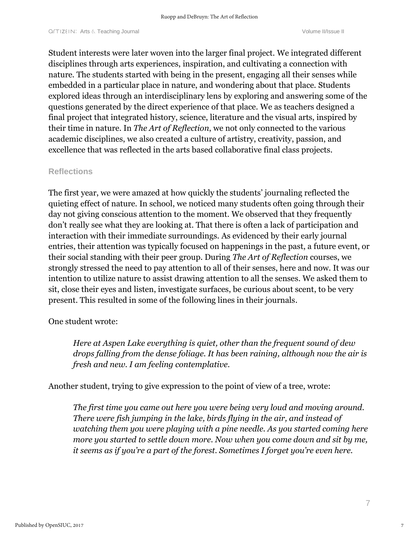Student interests were later woven into the larger final project. We integrated different disciplines through arts experiences, inspiration, and cultivating a connection with nature. The students started with being in the present, engaging all their senses while embedded in a particular place in nature, and wondering about that place. Students explored ideas through an interdisciplinary lens by exploring and answering some of the questions generated by the direct experience of that place. We as teachers designed a final project that integrated history, science, literature and the visual arts, inspired by their time in nature. In *The Art of Reflection*, we not only connected to the various academic disciplines, we also created a culture of artistry, creativity, passion, and excellence that was reflected in the arts based collaborative final class projects.

#### **Reflections**

The first year, we were amazed at how quickly the students' journaling reflected the quieting effect of nature. In school, we noticed many students often going through their day not giving conscious attention to the moment. We observed that they frequently don't really see what they are looking at. That there is often a lack of participation and interaction with their immediate surroundings. As evidenced by their early journal entries, their attention was typically focused on happenings in the past, a future event, or their social standing with their peer group. During *The Art of Reflection* courses, we strongly stressed the need to pay attention to all of their senses, here and now. It was our intention to utilize nature to assist drawing attention to all the senses. We asked them to sit, close their eyes and listen, investigate surfaces, be curious about scent, to be very present. This resulted in some of the following lines in their journals.

One student wrote:

*Here at Aspen Lake everything is quiet, other than the frequent sound of dew drops falling from the dense foliage. It has been raining, although now the air is fresh and new. I am feeling contemplative.*

Another student, trying to give expression to the point of view of a tree, wrote:

*The first time you came out here you were being very loud and moving around. There were fish jumping in the lake, birds flying in the air, and instead of watching them you were playing with a pine needle. As you started coming here more you started to settle down more. Now when you come down and sit by me, it seems as if you're a part of the forest. Sometimes I forget you're even here.*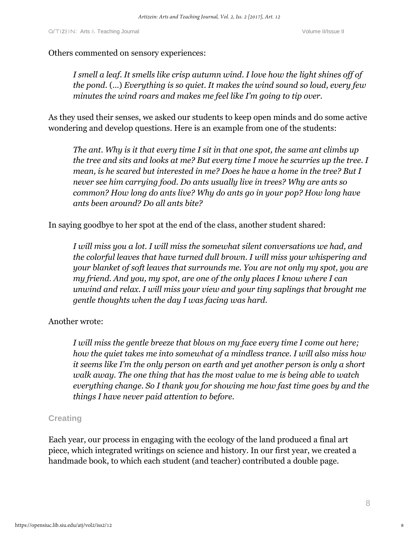Others commented on sensory experiences:

*I* smell a leaf. It smells like crisp autumn wind. I love how the light shines off of *the pond.* (…) *Everything is so quiet. It makes the wind sound so loud, every few minutes the wind roars and makes me feel like I'm going to tip over.*

As they used their senses, we asked our students to keep open minds and do some active wondering and develop questions. Here is an example from one of the students:

*The ant. Why is it that every time I sit in that one spot, the same ant climbs up the tree and sits and looks at me? But every time I move he scurries up the tree. I mean, is he scared but interested in me? Does he have a home in the tree? But I never see him carrying food. Do ants usually live in trees? Why are ants so common? How long do ants live? Why do ants go in your pop? How long have ants been around? Do all ants bite?*

In saying goodbye to her spot at the end of the class, another student shared:

*I will miss you a lot. I will miss the somewhat silent conversations we had, and the colorful leaves that have turned dull brown. I will miss your whispering and your blanket of soft leaves that surrounds me. You are not only my spot, you are my friend. And you, my spot, are one of the only places I know where I can unwind and relax. I will miss your view and your tiny saplings that brought me gentle thoughts when the day I was facing was hard.* 

# Another wrote:

*I will miss the gentle breeze that blows on my face every time I come out here; how the quiet takes me into somewhat of a mindless trance. I will also miss how it seems like I'm the only person on earth and yet another person is only a short walk away. The one thing that has the most value to me is being able to watch everything change. So I thank you for showing me how fast time goes by and the things I have never paid attention to before.* 

# **Creating**

Each year, our process in engaging with the ecology of the land produced a final art piece, which integrated writings on science and history. In our first year, we created a handmade book, to which each student (and teacher) contributed a double page.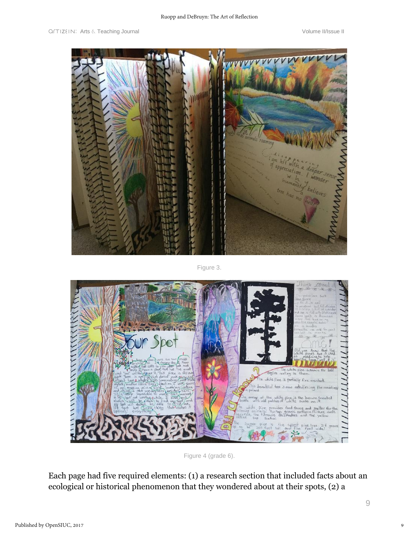

Figure 3.



Figure 4 (grade 6).

Each page had five required elements: (1) a research section that included facts about an ecological or historical phenomenon that they wondered about at their spots, (2) a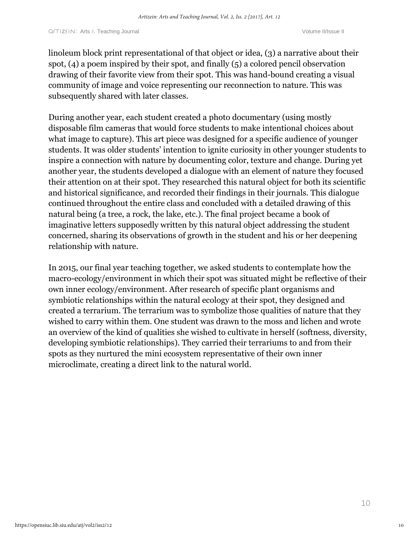linoleum block print representational of that object or idea, (3) a narrative about their spot,  $(4)$  a poem inspired by their spot, and finally  $(5)$  a colored pencil observation drawing of their favorite view from their spot. This was hand-bound creating a visual community of image and voice representing our reconnection to nature. This was subsequently shared with later classes.

During another year, each student created a photo documentary (using mostly disposable film cameras that would force students to make intentional choices about what image to capture). This art piece was designed for a specific audience of younger students. It was older students' intention to ignite curiosity in other younger students to inspire a connection with nature by documenting color, texture and change. During yet another year, the students developed a dialogue with an element of nature they focused their attention on at their spot. They researched this natural object for both its scientific and historical significance, and recorded their findings in their journals. This dialogue continued throughout the entire class and concluded with a detailed drawing of this natural being (a tree, a rock, the lake, etc.). The final project became a book of imaginative letters supposedly written by this natural object addressing the student concerned, sharing its observations of growth in the student and his or her deepening relationship with nature.

In 2015, our final year teaching together, we asked students to contemplate how the macro-ecology/environment in which their spot was situated might be reflective of their own inner ecology/environment. After research of specific plant organisms and symbiotic relationships within the natural ecology at their spot, they designed and created a terrarium. The terrarium was to symbolize those qualities of nature that they wished to carry within them. One student was drawn to the moss and lichen and wrote an overview of the kind of qualities she wished to cultivate in herself (softness, diversity, developing symbiotic relationships). They carried their terrariums to and from their spots as they nurtured the mini ecosystem representative of their own inner microclimate, creating a direct link to the natural world.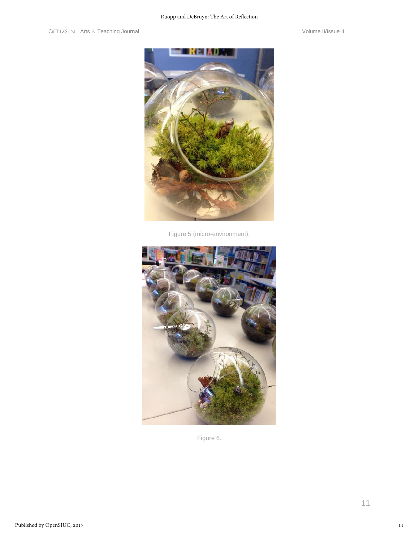

Figure 5 (micro-environment).



Figure 6.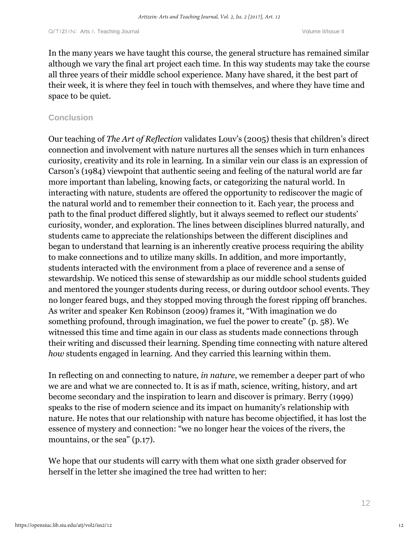In the many years we have taught this course, the general structure has remained similar although we vary the final art project each time. In this way students may take the course all three years of their middle school experience. Many have shared, it the best part of their week, it is where they feel in touch with themselves, and where they have time and space to be quiet.

# **Conclusion**

Our teaching of *The Art of Reflection* validates Louv's (2005) thesis that children's direct connection and involvement with nature nurtures all the senses which in turn enhances curiosity, creativity and its role in learning. In a similar vein our class is an expression of Carson's (1984) viewpoint that authentic seeing and feeling of the natural world are far more important than labeling, knowing facts, or categorizing the natural world. In interacting with nature, students are offered the opportunity to rediscover the magic of the natural world and to remember their connection to it. Each year, the process and path to the final product differed slightly, but it always seemed to reflect our students' curiosity, wonder, and exploration. The lines between disciplines blurred naturally, and students came to appreciate the relationships between the different disciplines and began to understand that learning is an inherently creative process requiring the ability to make connections and to utilize many skills. In addition, and more importantly, students interacted with the environment from a place of reverence and a sense of stewardship. We noticed this sense of stewardship as our middle school students guided and mentored the younger students during recess, or during outdoor school events. They no longer feared bugs, and they stopped moving through the forest ripping off branches. As writer and speaker Ken Robinson (2009) frames it, "With imagination we do something profound, through imagination, we fuel the power to create" (p. 58). We witnessed this time and time again in our class as students made connections through their writing and discussed their learning. Spending time connecting with nature altered *how* students engaged in learning. And they carried this learning within them.

In reflecting on and connecting to nature, *in nature*, we remember a deeper part of who we are and what we are connected to. It is as if math, science, writing, history, and art become secondary and the inspiration to learn and discover is primary. Berry (1999) speaks to the rise of modern science and its impact on humanity's relationship with nature. He notes that our relationship with nature has become objectified, it has lost the essence of mystery and connection: "we no longer hear the voices of the rivers, the mountains, or the sea" (p.17).

We hope that our students will carry with them what one sixth grader observed for herself in the letter she imagined the tree had written to her: